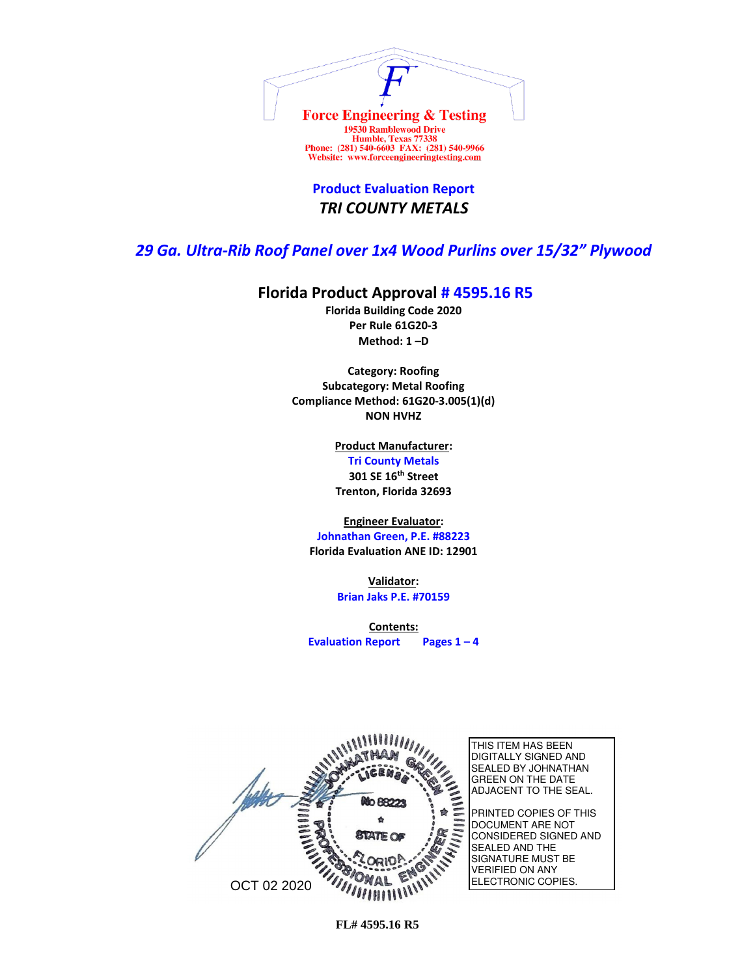

**Product Evaluation Report** *TRI COUNTY METALS*

## *29 Ga. Ultra-Rib Roof Panel over 1x4 Wood Purlins over 15/32" Plywood*

## **Florida Product Approval # 4595.16 R5**

**Florida Building Code 2020 Per Rule 61G20-3 Method: 1 –D** 

**Category: Roofing Subcategory: Metal Roofing Compliance Method: 61G20-3.005(1)(d) NON HVHZ**

> **Product Manufacturer: Tri County Metals 301 SE 16th Street Trenton, Florida 32693**

**Engineer Evaluator:**

**Johnathan Green, P.E. #88223 Florida Evaluation ANE ID: 12901**

> **Validator: Brian Jaks P.E. #70159**

**Contents: Evaluation Report Pages 1 – 4**

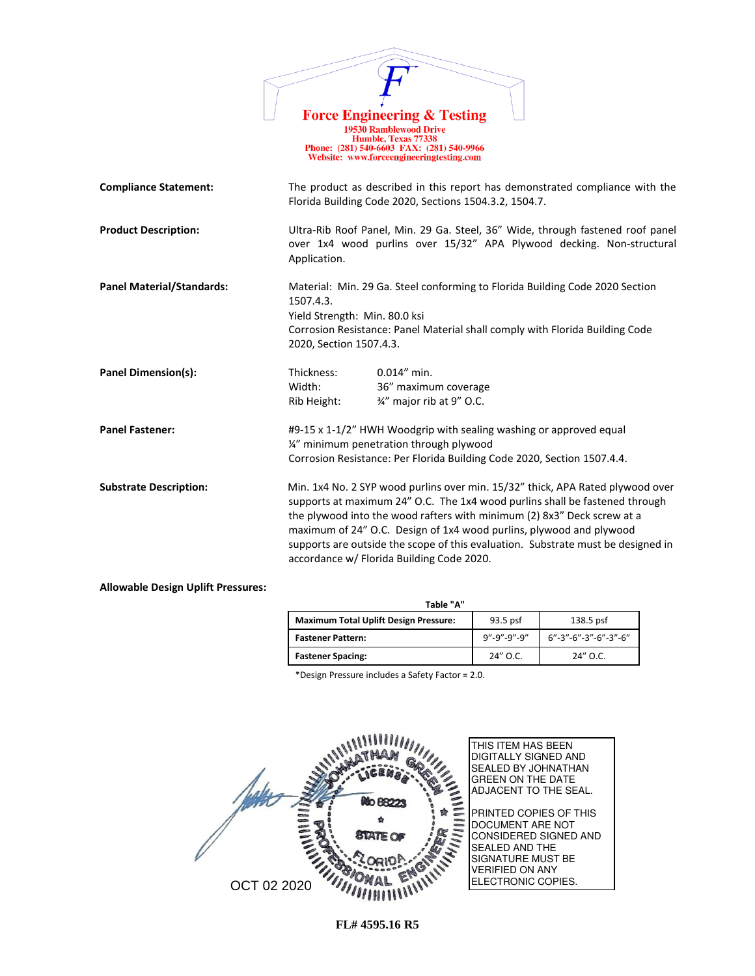|                                  | <b>Force Engineering &amp; Testing</b><br><b>19530 Ramblewood Drive</b><br>Humble, Texas 77338<br>Phone: (281) 540-6603 FAX: (281) 540-9966<br>Website: www.forceengineeringtesting.com                                                                                                                                                                                                                                                          |
|----------------------------------|--------------------------------------------------------------------------------------------------------------------------------------------------------------------------------------------------------------------------------------------------------------------------------------------------------------------------------------------------------------------------------------------------------------------------------------------------|
| <b>Compliance Statement:</b>     | The product as described in this report has demonstrated compliance with the<br>Florida Building Code 2020, Sections 1504.3.2, 1504.7.                                                                                                                                                                                                                                                                                                           |
| <b>Product Description:</b>      | Ultra-Rib Roof Panel, Min. 29 Ga. Steel, 36" Wide, through fastened roof panel<br>over 1x4 wood purlins over 15/32" APA Plywood decking. Non-structural<br>Application.                                                                                                                                                                                                                                                                          |
| <b>Panel Material/Standards:</b> | Material: Min. 29 Ga. Steel conforming to Florida Building Code 2020 Section<br>1507.4.3.<br>Yield Strength: Min. 80.0 ksi<br>Corrosion Resistance: Panel Material shall comply with Florida Building Code<br>2020, Section 1507.4.3.                                                                                                                                                                                                            |
| <b>Panel Dimension(s):</b>       | 0.014" min.<br>Thickness:<br>Width:<br>36" maximum coverage<br>3/4" major rib at 9" O.C.<br>Rib Height:                                                                                                                                                                                                                                                                                                                                          |
| <b>Panel Fastener:</b>           | #9-15 x 1-1/2" HWH Woodgrip with sealing washing or approved equal<br>1/4" minimum penetration through plywood<br>Corrosion Resistance: Per Florida Building Code 2020, Section 1507.4.4.                                                                                                                                                                                                                                                        |
| <b>Substrate Description:</b>    | Min. 1x4 No. 2 SYP wood purlins over min. 15/32" thick, APA Rated plywood over<br>supports at maximum 24" O.C. The 1x4 wood purlins shall be fastened through<br>the plywood into the wood rafters with minimum (2) 8x3" Deck screw at a<br>maximum of 24" O.C. Design of 1x4 wood purlins, plywood and plywood<br>supports are outside the scope of this evaluation. Substrate must be designed in<br>accordance w/ Florida Building Code 2020. |

#### **Allowable Design Uplift Pressures:**

| Table "A"                                    |             |                         |  |
|----------------------------------------------|-------------|-------------------------|--|
| <b>Maximum Total Uplift Design Pressure:</b> | 93.5 psf    | 138.5 psf               |  |
| <b>Fastener Pattern:</b>                     | 9"-9"-9"-9" | $6"$ -3"-6"-3"-6"-3"-6" |  |
| <b>Fastener Spacing:</b>                     | 24" O.C.    | $24''$ O.C.             |  |

\*Design Pressure includes a Safety Factor = 2.0.

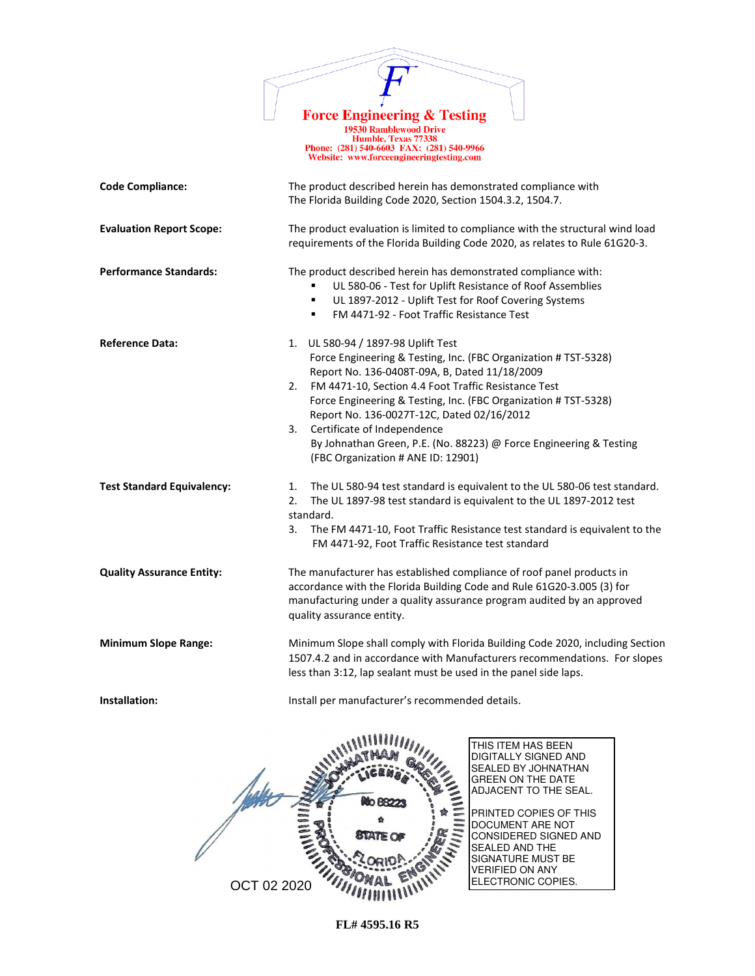

1978 Ramblewood Drive<br>
19530 Ramblewood Drive<br>
Humble, Texas 77338<br>
Phone: (281) 540-6603 FAX: (281) 540-9966<br>
Website: www.forceengineeringtesting.com

| <b>Code Compliance:</b>           | The product described herein has demonstrated compliance with<br>The Florida Building Code 2020, Section 1504.3.2, 1504.7.                                                                                                                                                                                                                                                                                                                                                             |  |
|-----------------------------------|----------------------------------------------------------------------------------------------------------------------------------------------------------------------------------------------------------------------------------------------------------------------------------------------------------------------------------------------------------------------------------------------------------------------------------------------------------------------------------------|--|
| <b>Evaluation Report Scope:</b>   | The product evaluation is limited to compliance with the structural wind load<br>requirements of the Florida Building Code 2020, as relates to Rule 61G20-3.                                                                                                                                                                                                                                                                                                                           |  |
| <b>Performance Standards:</b>     | The product described herein has demonstrated compliance with:<br>UL 580-06 - Test for Uplift Resistance of Roof Assemblies<br>UL 1897-2012 - Uplift Test for Roof Covering Systems<br>٠<br>FM 4471-92 - Foot Traffic Resistance Test<br>٠                                                                                                                                                                                                                                             |  |
| <b>Reference Data:</b>            | 1. UL 580-94 / 1897-98 Uplift Test<br>Force Engineering & Testing, Inc. (FBC Organization # TST-5328)<br>Report No. 136-0408T-09A, B, Dated 11/18/2009<br>FM 4471-10, Section 4.4 Foot Traffic Resistance Test<br>2.<br>Force Engineering & Testing, Inc. (FBC Organization # TST-5328)<br>Report No. 136-0027T-12C, Dated 02/16/2012<br>Certificate of Independence<br>3.<br>By Johnathan Green, P.E. (No. 88223) @ Force Engineering & Testing<br>(FBC Organization # ANE ID: 12901) |  |
| <b>Test Standard Equivalency:</b> | The UL 580-94 test standard is equivalent to the UL 580-06 test standard.<br>1.<br>2.<br>The UL 1897-98 test standard is equivalent to the UL 1897-2012 test<br>standard.<br>3.<br>The FM 4471-10, Foot Traffic Resistance test standard is equivalent to the<br>FM 4471-92, Foot Traffic Resistance test standard                                                                                                                                                                     |  |
| <b>Quality Assurance Entity:</b>  | The manufacturer has established compliance of roof panel products in<br>accordance with the Florida Building Code and Rule 61G20-3.005 (3) for<br>manufacturing under a quality assurance program audited by an approved<br>quality assurance entity.                                                                                                                                                                                                                                 |  |
| <b>Minimum Slope Range:</b>       | Minimum Slope shall comply with Florida Building Code 2020, including Section<br>1507.4.2 and in accordance with Manufacturers recommendations. For slopes<br>less than 3:12, lap sealant must be used in the panel side laps.                                                                                                                                                                                                                                                         |  |
| Installation:                     | Install per manufacturer's recommended details.                                                                                                                                                                                                                                                                                                                                                                                                                                        |  |
| $\mathcal{N}$                     | THIS ITEM HAS BEEN<br>DIGITALLY SIGNED AND<br>SEALED BY JOHNATHAN<br>GREEN ON THE DATE                                                                                                                                                                                                                                                                                                                                                                                                 |  |

OCT 02 2020

ADJACENT TO THE SEAL. PRINTED COPIES OF THIS DOCUMENT ARE NOT CONSIDERED SIGNED AND

SEALED AND THE SIGNATURE MUST BE VERIFIED ON ANY

ELECTRONIC COPIES.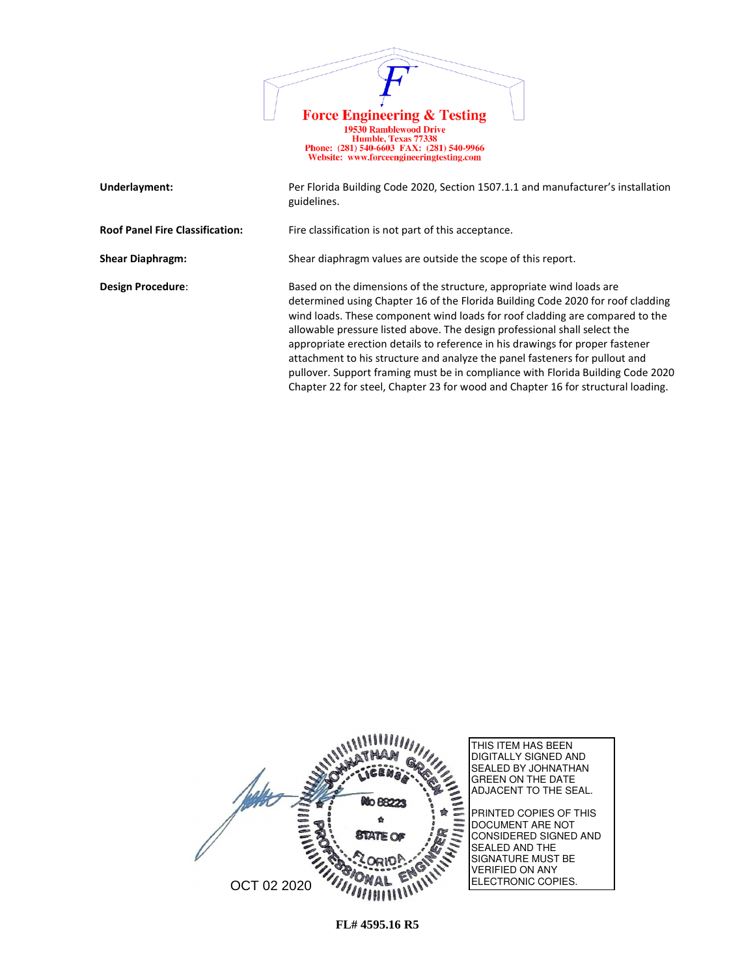

| Underlayment:                          | Per Florida Building Code 2020, Section 1507.1.1 and manufacturer's installation<br>guidelines.                                                                                                                                                                                                                                                                                                                                                                                                                                                                                                                                                             |
|----------------------------------------|-------------------------------------------------------------------------------------------------------------------------------------------------------------------------------------------------------------------------------------------------------------------------------------------------------------------------------------------------------------------------------------------------------------------------------------------------------------------------------------------------------------------------------------------------------------------------------------------------------------------------------------------------------------|
| <b>Roof Panel Fire Classification:</b> | Fire classification is not part of this acceptance.                                                                                                                                                                                                                                                                                                                                                                                                                                                                                                                                                                                                         |
| <b>Shear Diaphragm:</b>                | Shear diaphragm values are outside the scope of this report.                                                                                                                                                                                                                                                                                                                                                                                                                                                                                                                                                                                                |
| Design Procedure:                      | Based on the dimensions of the structure, appropriate wind loads are<br>determined using Chapter 16 of the Florida Building Code 2020 for roof cladding<br>wind loads. These component wind loads for roof cladding are compared to the<br>allowable pressure listed above. The design professional shall select the<br>appropriate erection details to reference in his drawings for proper fastener<br>attachment to his structure and analyze the panel fasteners for pullout and<br>pullover. Support framing must be in compliance with Florida Building Code 2020<br>Chapter 22 for steel, Chapter 23 for wood and Chapter 16 for structural loading. |